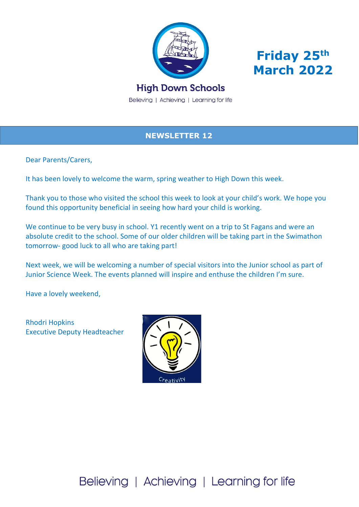



# **High Down Schools**

Believing | Achieving | Learning for life

## **NEWSLETTER 12**

Dear Parents/Carers,

It has been lovely to welcome the warm, spring weather to High Down this week.

Thank you to those who visited the school this week to look at your child's work. We hope you found this opportunity beneficial in seeing how hard your child is working.

We continue to be very busy in school. Y1 recently went on a trip to St Fagans and were an absolute credit to the school. Some of our older children will be taking part in the Swimathon tomorrow- good luck to all who are taking part!

Next week, we will be welcoming a number of special visitors into the Junior school as part of Junior Science Week. The events planned will inspire and enthuse the children I'm sure.

Have a lovely weekend,

Rhodri Hopkins Executive Deputy Headteacher



Believing | Achieving | Learning for life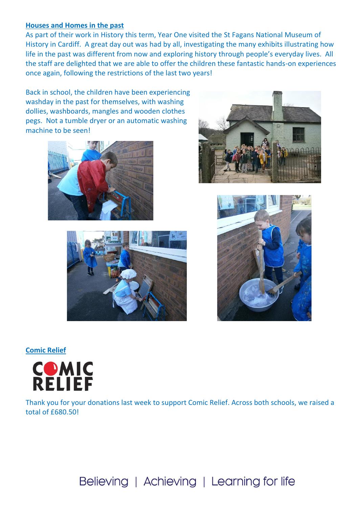#### **Houses and Homes in the past**

As part of their work in History this term, Year One visited the St Fagans National Museum of History in Cardiff. A great day out was had by all, investigating the many exhibits illustrating how life in the past was different from now and exploring history through people's everyday lives. All the staff are delighted that we are able to offer the children these fantastic hands-on experiences once again, following the restrictions of the last two years!

Back in school, the children have been experiencing washday in the past for themselves, with washing dollies, washboards, mangles and wooden clothes pegs. Not a tumble dryer or an automatic washing machine to be seen!









**Comic Relief**



Thank you for your donations last week to support Comic Relief. Across both schools, we raised a total of £680.50!

# Believing | Achieving | Learning for life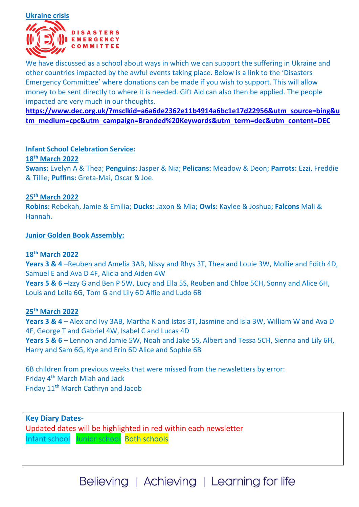

We have discussed as a school about ways in which we can support the suffering in Ukraine and other countries impacted by the awful events taking place. Below is a link to the 'Disasters Emergency Committee' where donations can be made if you wish to support. This will allow money to be sent directly to where it is needed. Gift Aid can also then be applied. The people impacted are very much in our thoughts.

**[https://www.dec.org.uk/?msclkid=a6a6de2362e11b4914a6bc1e17d22956&utm\\_source=bing&u](https://www.dec.org.uk/?msclkid=a6a6de2362e11b4914a6bc1e17d22956&utm_source=bing&utm_medium=cpc&utm_campaign=Branded%20Keywords&utm_term=dec&utm_content=DEC) [tm\\_medium=cpc&utm\\_campaign=Branded%20Keywords&utm\\_term=dec&utm\\_content=DEC](https://www.dec.org.uk/?msclkid=a6a6de2362e11b4914a6bc1e17d22956&utm_source=bing&utm_medium=cpc&utm_campaign=Branded%20Keywords&utm_term=dec&utm_content=DEC)**

#### **Infant School Celebration Service:**

#### **18th March 2022**

**Swans:** Evelyn A & Thea; **Penguins:** Jasper & Nia; **Pelicans:** Meadow & Deon; **Parrots:** Ezzi, Freddie & Tillie; **Puffins:** Greta-Mai, Oscar & Joe.

#### **25th March 2022**

**Robins:** Rebekah, Jamie & Emilia; **Ducks:** Jaxon & Mia; **Owls:** Kaylee & Joshua; **Falcons** Mali & Hannah.

#### **Junior Golden Book Assembly:**

#### **18th March 2022**

**Years 3 & 4** –Reuben and Amelia 3AB, Nissy and Rhys 3T, Thea and Louie 3W, Mollie and Edith 4D, Samuel E and Ava D 4F, Alicia and Aiden 4W

**Years 5 & 6** –Izzy G and Ben P 5W, Lucy and Ella 5S, Reuben and Chloe 5CH, Sonny and Alice 6H, Louis and Leila 6G, Tom G and Lily 6D Alfie and Ludo 6B

#### **25th March 2022**

**Years 3 & 4** – Alex and Ivy 3AB, Martha K and Istas 3T, Jasmine and Isla 3W, William W and Ava D 4F, George T and Gabriel 4W, Isabel C and Lucas 4D **Years 5 & 6** – Lennon and Jamie 5W, Noah and Jake 5S, Albert and Tessa 5CH, Sienna and Lily 6H,

Harry and Sam 6G, Kye and Erin 6D Alice and Sophie 6B

6B children from previous weeks that were missed from the newsletters by error: Friday 4th March Miah and Jack Friday 11<sup>th</sup> March Cathryn and Jacob

**Key Diary Dates-**Updated dates will be highlighted in red within each newsletter Infant school Junior school Both schools